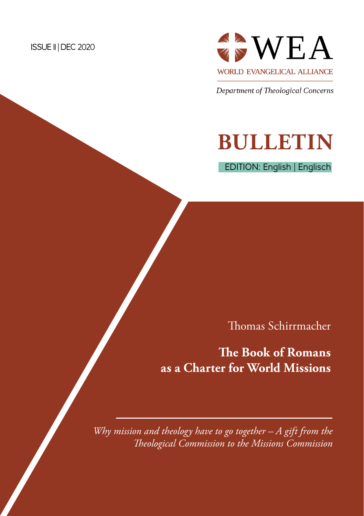#### ISSUE 11 | DEC 2020



Department of Theological Concerns

# **BULLETIN**

EDITION: English | Englisch

Thomas Schirrmacher

# **The Book of Romans as a Charter for World Missions**

*Why mission and theology have to go together – A gift from the Theological Commission to the Missions Commission*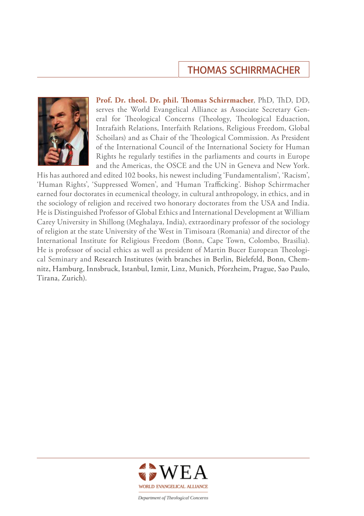## THOMAS SCHIRRMACHER



**Prof. Dr. theol. Dr. phil. Thomas Schirrmacher**, PhD, ThD, DD, serves the World Evangelical Alliance as Associate Secretary General for Theological Concerns (Theology, Theological Eduaction, Intrafaith Relations, Interfaith Relations, Religious Freedom, Global Schoilars) and as Chair of the Theological Commission. As President of the International Council of the International Society for Human Rights he regularly testifies in the parliaments and courts in Europe and the Americas, the OSCE and the UN in Geneva and New York.

His has authored and edited 102 books, his newest including 'Fundamentalism', 'Racism', 'Human Rights', 'Suppressed Women', and 'Human Trafficking'. Bishop Schirrmacher earned four doctorates in ecumenical theology, in cultural anthropology, in ethics, and in the sociology of religion and received two honorary doctorates from the USA and India. He is Distinguished Professor of Global Ethics and International Development at William Carey University in Shillong (Meghalaya, India), extraordinary professor of the sociology of religion at the state University of the West in Timisoara (Romania) and director of the International Institute for Religious Freedom (Bonn, Cape Town, Colombo, Brasilia). He is professor of social ethics as well as president of Martin Bucer European Theological Seminary and Research Institutes (with branches in Berlin, Bielefeld, Bonn, Chemnitz, Hamburg, Innsbruck, Istanbul, Izmir, Linz, Munich, Pforzheim, Prague, Sao Paulo, Tirana, Zurich).

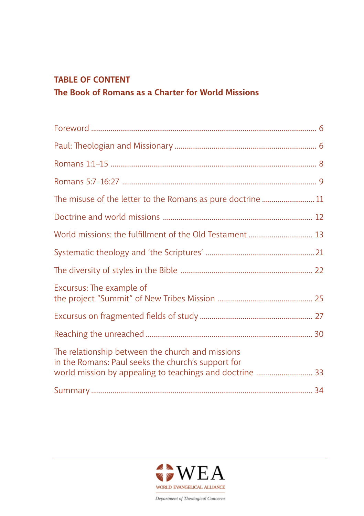#### **TABLE OF CONTENT**

## **[The Book of Romans as a Charter for World Missions](#page-4-0)**

| World missions: the fulfillment of the Old Testament  13                                                                                                           |
|--------------------------------------------------------------------------------------------------------------------------------------------------------------------|
|                                                                                                                                                                    |
|                                                                                                                                                                    |
| Excursus: The example of                                                                                                                                           |
|                                                                                                                                                                    |
|                                                                                                                                                                    |
| The relationship between the church and missions<br>in the Romans: Paul seeks the church's support for<br>world mission by appealing to teachings and doctrine  33 |
|                                                                                                                                                                    |

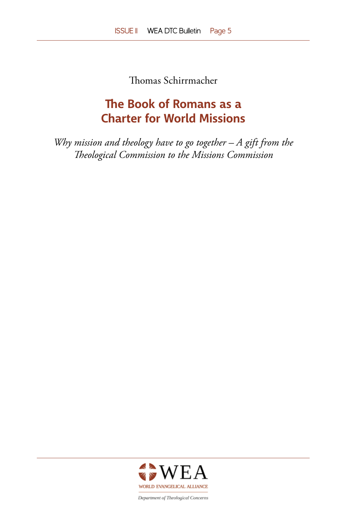Thomas Schirrmacher

# <span id="page-4-0"></span>**The Book of Romans as a Charter for World Missions**

*Why mission and theology have to go together – A gift from the Theological Commission to the Missions Commission*

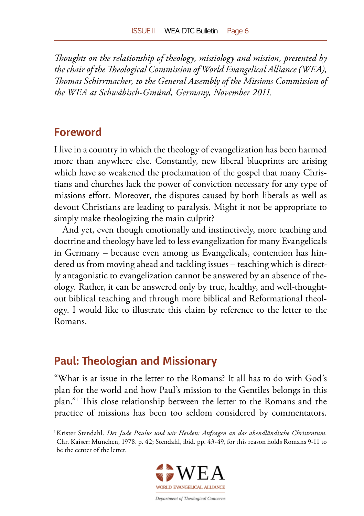<span id="page-5-0"></span>*Thoughts on the relationship of theology, missiology and mission, presented by the chair of the Theological Commission of World Evangelical Alliance (WEA), Thomas Schirrmacher, to the General Assembly of the Missions Commission of the WEA at Schwäbisch-Gmünd, Germany, November 2011.*

#### **Foreword**

I live in a country in which the theology of evangelization has been harmed more than anywhere else. Constantly, new liberal blueprints are arising which have so weakened the proclamation of the gospel that many Christians and churches lack the power of conviction necessary for any type of missions effort. Moreover, the disputes caused by both liberals as well as devout Christians are leading to paralysis. Might it not be appropriate to simply make theologizing the main culprit?

And yet, even though emotionally and instinctively, more teaching and doctrine and theology have led to less evangelization for many Evangelicals in Germany – because even among us Evangelicals, contention has hindered us from moving ahead and tackling issues – teaching which is directly antagonistic to evangelization cannot be answered by an absence of theology. Rather, it can be answered only by true, healthy, and well-thoughtout biblical teaching and through more biblical and Reformational theology. I would like to illustrate this claim by reference to the letter to the Romans.

## **Paul: Theologian and Missionary**

"What is at issue in the letter to the Romans? It all has to do with God's plan for the world and how Paul's mission to the Gentiles belongs in this plan."1 This close relationship between the letter to the Romans and the practice of missions has been too seldom considered by commentators.

<sup>1</sup> Krister Stendahl. *Der Jude Paulus und wir Heiden: Anfragen an das abendländische Christentum*. Chr. Kaiser: München, 1978. p. 42; Stendahl, ibid. pp. 43-49, for this reason holds Romans 9-11 to be the center of the letter.

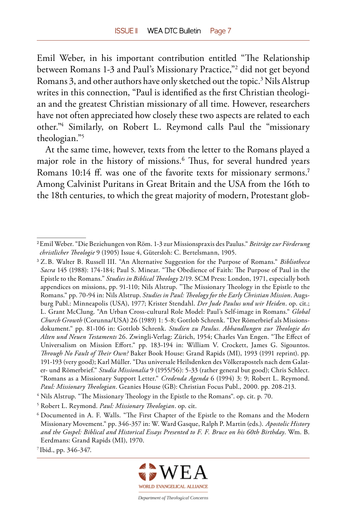Emil Weber, in his important contribution entitled "The Relationship between Romans 1-3 and Paul's Missionary Practice,"2 did not get beyond Romans 3, and other authors have only sketched out the topic.<sup>3</sup> Nils Alstrup writes in this connection, "Paul is identified as the first Christian theologian and the greatest Christian missionary of all time. However, researchers have not often appreciated how closely these two aspects are related to each other."4 Similarly, on Robert L. Reymond calls Paul the "missionary theologian."5

At the same time, however, texts from the letter to the Romans played a major role in the history of missions.<sup>6</sup> Thus, for several hundred years Romans 10:14 ff. was one of the favorite texts for missionary sermons.<sup>7</sup> Among Calvinist Puritans in Great Britain and the USA from the 16th to the 18th centuries, to which the great majority of modern, Protestant glob-



<sup>2</sup> Emil Weber. "Die Beziehungen von Röm. 1-3 zur Missionspraxis des Paulus." *Beiträge zur Förderung christlicher Theologie* 9 (1905) Issue 4, Gütersloh: C. Bertelsmann, 1905.

<sup>3</sup> Z.B. Walter B. Russell III. "An Alternative Suggestion for the Purpose of Romans." *Bibliotheca Sacra* 145 (1988): 174-184; Paul S. Minear. "The Obedience of Faith: The Purpose of Paul in the Epistle to the Romans." *Studies in Biblical Theology* 2/19. SCM Press: London, 1971, especially both appendices on missions, pp. 91-110; Nils Alstrup. "The Missionary Theology in the Epistle to the Romans." pp. 70-94 in: Nils Alstrup. *Studies in Paul: Theology for the Early Christian Mission*. Augsburg Publ.: Minneapolis (USA), 1977; Krister Stendahl. *Der Jude Paulus und wir Heiden*. op. cit.; L. Grant McClung. "An Urban Cross-cultural Role Model: Paul's Self-image in Romans." *Global Church Growth* (Corunna/USA) 26 (1989) 1: 5-8; Gottlob Schrenk. "Der Römerbrief als Missionsdokument." pp. 81-106 in: Gottlob Schrenk. *Studien zu Paulus. Abhandlungen zur Theologie des Alten und Neuen Testaments* 26. Zwingli-Verlag: Zürich, 1954; Charles Van Engen. "The Effect of Universalism on Mission Effort." pp. 183-194 in: William V. Crockett, James G. Sigountos. *Through No Fault of Their Own?* Baker Book House: Grand Rapids (MI), 1993 (1991 reprint). pp. 191-193 (very good); Karl Müller. "Das universale Heilsdenken des Völkerapostels nach dem Galater- und Römerbrief." *Studia Missionalia* 9 (1955/56): 5-33 (rather general but good); Chris Schlect. "Romans as a Missionary Support Letter." *Credenda Agenda* 6 (1994) 3: 9; Robert L. Reymond. *Paul: Missionary Theologian*. Geanies House (GB): Christian Focus Publ., 2000. pp. 208-213.

<sup>&</sup>lt;sup>4</sup> Nils Alstrup. "The Missionary Theology in the Epistle to the Romans". op. cit. p. 70.

<sup>5</sup> Robert L. Reymond. *Paul: Missionary Theologian*. op. cit.

<sup>6</sup> Documented in A. F. Walls. "The First Chapter of the Epistle to the Romans and the Modern Missionary Movement." pp. 346-357 in: W. Ward Gasque, Ralph P. Martin (eds.). *Apostolic History and the Gospel: Biblical and Historical Essays Presented to F. F. Bruce on his 60th Birthday*. Wm. B. Eerdmans: Grand Rapids (MI), 1970.

<sup>7</sup> Ibid., pp. 346-347.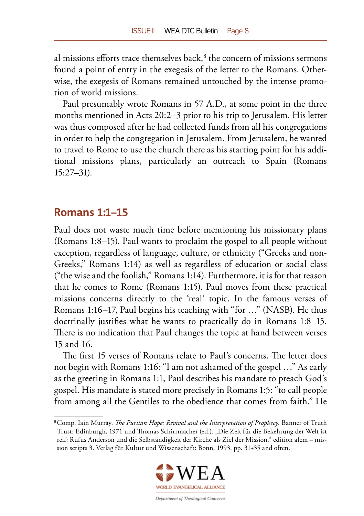<span id="page-7-0"></span>al missions efforts trace themselves back,<sup>8</sup> the concern of missions sermons found a point of entry in the exegesis of the letter to the Romans. Otherwise, the exegesis of Romans remained untouched by the intense promotion of world missions.

Paul presumably wrote Romans in 57 A.D., at some point in the three months mentioned in Acts 20:2–3 prior to his trip to Jerusalem. His letter was thus composed after he had collected funds from all his congregations in order to help the congregation in Jerusalem. From Jerusalem, he wanted to travel to Rome to use the church there as his starting point for his additional missions plans, particularly an outreach to Spain (Romans 15:27–31).

#### **Romans 1:1–15**

Paul does not waste much time before mentioning his missionary plans (Romans 1:8–15). Paul wants to proclaim the gospel to all people without exception, regardless of language, culture, or ethnicity ("Greeks and non-Greeks," Romans 1:14) as well as regardless of education or social class ("the wise and the foolish," Romans 1:14). Furthermore, it is for that reason that he comes to Rome (Romans 1:15). Paul moves from these practical missions concerns directly to the 'real' topic. In the famous verses of Romans 1:16–17, Paul begins his teaching with "for …" (NASB). He thus doctrinally justifies what he wants to practically do in Romans 1:8–15. There is no indication that Paul changes the topic at hand between verses 15 and 16.

The first 15 verses of Romans relate to Paul's concerns. The letter does not begin with Romans 1:16: "I am not ashamed of the gospel …" As early as the greeting in Romans 1:1, Paul describes his mandate to preach God's gospel. His mandate is stated more precisely in Romans 1:5: "to call people from among all the Gentiles to the obedience that comes from faith." He

<sup>8</sup> Comp. Iain Murray. *The Puritan Hope: Revival and the Interpretation of Prophecy*. Banner of Truth Trust: Edinburgh, 1971 und Thomas Schirrmacher (ed.). "Die Zeit für die Bekehrung der Welt ist reif: Rufus Anderson und die Selbständigkeit der Kirche als Ziel der Mission." edition afem – mission scripts 3. Verlag für Kultur und Wissenschaft: Bonn, 1993. pp. 31+35 and often.

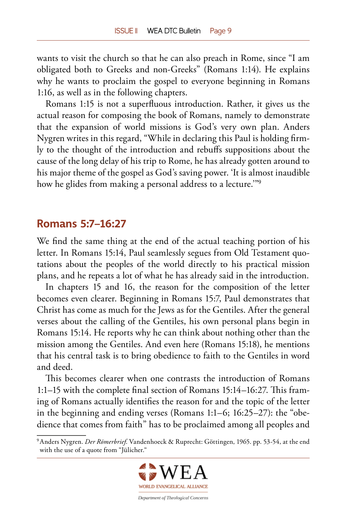<span id="page-8-0"></span>wants to visit the church so that he can also preach in Rome, since "I am obligated both to Greeks and non-Greeks" (Romans 1:14). He explains why he wants to proclaim the gospel to everyone beginning in Romans 1:16, as well as in the following chapters.

Romans 1:15 is not a superfluous introduction. Rather, it gives us the actual reason for composing the book of Romans, namely to demonstrate that the expansion of world missions is God's very own plan. Anders Nygren writes in this regard, "While in declaring this Paul is holding firmly to the thought of the introduction and rebuffs suppositions about the cause of the long delay of his trip to Rome, he has already gotten around to his major theme of the gospel as God's saving power. 'It is almost inaudible how he glides from making a personal address to a lecture.'"<sup>9</sup>

#### **Romans 5:7–16:27**

We find the same thing at the end of the actual teaching portion of his letter. In Romans 15:14, Paul seamlessly segues from Old Testament quotations about the peoples of the world directly to his practical mission plans, and he repeats a lot of what he has already said in the introduction.

In chapters 15 and 16, the reason for the composition of the letter becomes even clearer. Beginning in Romans 15:7, Paul demonstrates that Christ has come as much for the Jews as for the Gentiles. After the general verses about the calling of the Gentiles, his own personal plans begin in Romans 15:14. He reports why he can think about nothing other than the mission among the Gentiles. And even here (Romans 15:18), he mentions that his central task is to bring obedience to faith to the Gentiles in word and deed.

This becomes clearer when one contrasts the introduction of Romans 1:1–15 with the complete final section of Romans 15:14–16:27. This framing of Romans actually identifies the reason for and the topic of the letter in the beginning and ending verses (Romans 1:1–6; 16:25–27): the "obedience that comes from faith" has to be proclaimed among all peoples and

<sup>9</sup> Anders Nygren. *Der Römerbrief*. Vandenhoeck & Ruprecht: Göttingen, 1965. pp. 53-54, at the end with the use of a quote from "Jülicher."

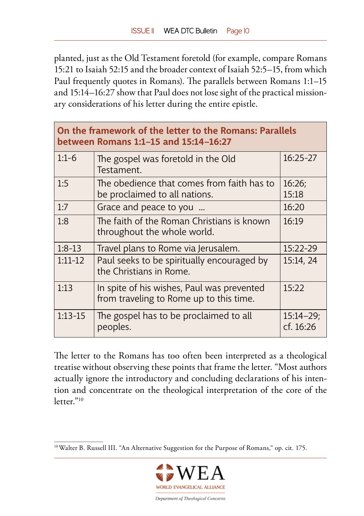planted, just as the Old Testament foretold (for example, compare Romans 15:21 to Isaiah 52:15 and the broader context of Isaiah 52:5–15, from which Paul frequently quotes in Romans). The parallels between Romans 1:1–15 and 15:14–16:27 show that Paul does not lose sight of the practical missionary considerations of his letter during the entire epistle.

| On the framework of the letter to the Romans: Parallels<br>between Romans 1:1-15 and 15:14-16:27 |                                                                                       |                            |  |  |
|--------------------------------------------------------------------------------------------------|---------------------------------------------------------------------------------------|----------------------------|--|--|
| $1:1-6$                                                                                          | The gospel was foretold in the Old<br>Testament.                                      | $16:25-27$                 |  |  |
| 1:5                                                                                              | The obedience that comes from faith has to<br>be proclaimed to all nations.           | 16:26;<br>15:18            |  |  |
| 1:7                                                                                              | Grace and peace to you                                                                | 16:20                      |  |  |
| 1:8                                                                                              | The faith of the Roman Christians is known<br>throughout the whole world.             | 16:19                      |  |  |
| $1:8-13$                                                                                         | Travel plans to Rome via Jerusalem.                                                   | 15:22-29                   |  |  |
| $1:11-12$                                                                                        | Paul seeks to be spiritually encouraged by<br>the Christians in Rome.                 | 15:14, 24                  |  |  |
| 1:13                                                                                             | In spite of his wishes, Paul was prevented<br>from traveling to Rome up to this time. | 15:22                      |  |  |
| $1:13-15$                                                                                        | The gospel has to be proclaimed to all<br>peoples.                                    | $15:14 - 29;$<br>cf. 16:26 |  |  |

The letter to the Romans has too often been interpreted as a theological treatise without observing these points that frame the letter. "Most authors actually ignore the introductory and concluding declarations of his intention and concentrate on the theological interpretation of the core of the letter."<sup>10</sup>

<sup>&</sup>lt;sup>10</sup> Walter B. Russell III. "An Alternative Suggestion for the Purpose of Romans," op. cit. 175.

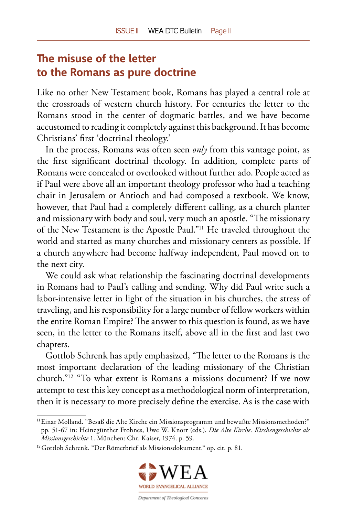# <span id="page-10-0"></span>**The misuse of the letter to the Romans as pure doctrine**

Like no other New Testament book, Romans has played a central role at the crossroads of western church history. For centuries the letter to the Romans stood in the center of dogmatic battles, and we have become accustomed to reading it completely against this background. It has become Christians' first 'doctrinal theology.'

In the process, Romans was often seen *only* from this vantage point, as the first significant doctrinal theology. In addition, complete parts of Romans were concealed or overlooked without further ado. People acted as if Paul were above all an important theology professor who had a teaching chair in Jerusalem or Antioch and had composed a textbook. We know, however, that Paul had a completely different calling, as a church planter and missionary with body and soul, very much an apostle. "The missionary of the New Testament is the Apostle Paul."11 He traveled throughout the world and started as many churches and missionary centers as possible. If a church anywhere had become halfway independent, Paul moved on to the next city.

We could ask what relationship the fascinating doctrinal developments in Romans had to Paul's calling and sending. Why did Paul write such a labor-intensive letter in light of the situation in his churches, the stress of traveling, and his responsibility for a large number of fellow workers within the entire Roman Empire? The answer to this question is found, as we have seen, in the letter to the Romans itself, above all in the first and last two chapters.

Gottlob Schrenk has aptly emphasized, "The letter to the Romans is the most important declaration of the leading missionary of the Christian church."12 "To what extent is Romans a missions document? If we now attempt to test this key concept as a methodological norm of interpretation, then it is necessary to more precisely define the exercise. As is the case with

<sup>12</sup> Gottlob Schrenk. "Der Römerbrief als Missionsdokument." op. cit. p. 81.



<sup>11</sup> Einar Molland. "Besaß die Alte Kirche ein Missionsprogramm und bewußte Missionsmethoden?" pp. 51-67 in: Heinzgünther Frohnes, Uwe W. Knorr (eds.). *Die Alte Kirche. Kirchengeschichte als Missionsgeschichte* 1. München: Chr. Kaiser, 1974. p. 59.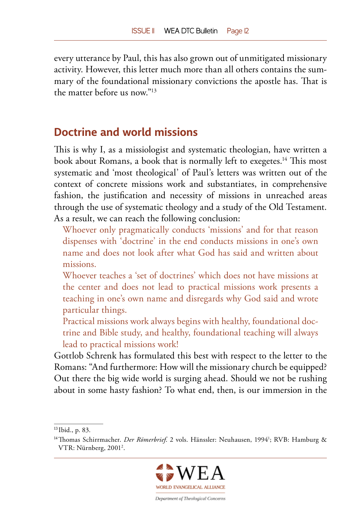<span id="page-11-0"></span>every utterance by Paul, this has also grown out of unmitigated missionary activity. However, this letter much more than all others contains the summary of the foundational missionary convictions the apostle has. That is the matter before us now"<sup>13</sup>

### **Doctrine and world missions**

This is why I, as a missiologist and systematic theologian, have written a book about Romans, a book that is normally left to exegetes.<sup>14</sup> This most systematic and 'most theological' of Paul's letters was written out of the context of concrete missions work and substantiates, in comprehensive fashion, the justification and necessity of missions in unreached areas through the use of systematic theology and a study of the Old Testament. As a result, we can reach the following conclusion:

Whoever only pragmatically conducts 'missions' and for that reason dispenses with 'doctrine' in the end conducts missions in one's own name and does not look after what God has said and written about missions.

- Whoever teaches a 'set of doctrines' which does not have missions at the center and does not lead to practical missions work presents a teaching in one's own name and disregards why God said and wrote particular things.
- Practical missions work always begins with healthy, foundational doctrine and Bible study, and healthy, foundational teaching will always lead to practical missions work!

Gottlob Schrenk has formulated this best with respect to the letter to the Romans: "And furthermore: How will the missionary church be equipped? Out there the big wide world is surging ahead. Should we not be rushing about in some hasty fashion? To what end, then, is our immersion in the

<sup>&</sup>lt;sup>14</sup>Thomas Schirrmacher. *Der Römerbrief*. 2 vols. Hänssler: Neuhausen, 1994<sup>1</sup>; RVB: Hamburg & VTR: Nürnberg, 20012 .



<sup>13</sup> Ibid., p. 83.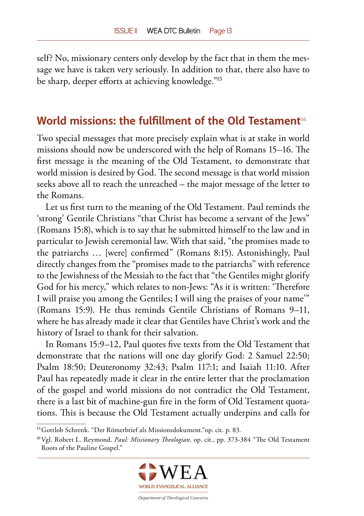<span id="page-12-0"></span>self? No, missionary centers only develop by the fact that in them the message we have is taken very seriously. In addition to that, there also have to be sharp, deeper efforts at achieving knowledge."<sup>15</sup>

## **World missions: the fulfillment of the Old Testament**<sup>16</sup>

Two special messages that more precisely explain what is at stake in world missions should now be underscored with the help of Romans 15–16. The first message is the meaning of the Old Testament, to demonstrate that world mission is desired by God. The second message is that world mission seeks above all to reach the unreached – the major message of the letter to the Romans.

Let us first turn to the meaning of the Old Testament. Paul reminds the 'strong' Gentile Christians "that Christ has become a servant of the Jews" (Romans 15:8), which is to say that he submitted himself to the law and in particular to Jewish ceremonial law. With that said, "the promises made to the patriarchs … [were] confirmed" (Romans 8:15). Astonishingly, Paul directly changes from the "promises made to the patriarchs" with reference to the Jewishness of the Messiah to the fact that "the Gentiles might glorify God for his mercy," which relates to non-Jews: "As it is written: 'Therefore I will praise you among the Gentiles; I will sing the praises of your name'" (Romans 15:9). He thus reminds Gentile Christians of Romans 9–11, where he has already made it clear that Gentiles have Christ's work and the history of Israel to thank for their salvation.

In Romans 15:9–12, Paul quotes five texts from the Old Testament that demonstrate that the nations will one day glorify God: 2 Samuel 22:50; Psalm 18:50; Deuteronomy 32:43; Psalm 117:1; and Isaiah 11:10. After Paul has repeatedly made it clear in the entire letter that the proclamation of the gospel and world missions do not contradict the Old Testament, there is a last bit of machine-gun fire in the form of Old Testament quotations. This is because the Old Testament actually underpins and calls for

<sup>16</sup> Vgl. Robert L. Reymond. *Paul: Missionary Theologian*. op. cit., pp. 373-384 "The Old Testament Roots of the Pauline Gospel."



<sup>15</sup> Gottlob Schrenk. "Der Römerbrief als Missionsdokument."op. cit. p. 83.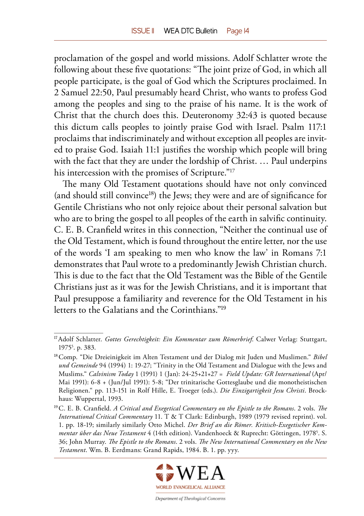proclamation of the gospel and world missions. Adolf Schlatter wrote the following about these five quotations: "The joint prize of God, in which all people participate, is the goal of God which the Scriptures proclaimed. In 2 Samuel 22:50, Paul presumably heard Christ, who wants to profess God among the peoples and sing to the praise of his name. It is the work of Christ that the church does this. Deuteronomy 32:43 is quoted because this dictum calls peoples to jointly praise God with Israel. Psalm 117:1 proclaims that indiscriminately and without exception all peoples are invited to praise God. Isaiah 11:1 justifies the worship which people will bring with the fact that they are under the lordship of Christ. … Paul underpins his intercession with the promises of Scripture."<sup>17</sup>

The many Old Testament quotations should have not only convinced  $($ and should still convince<sup>18</sup> $)$  the Jews; they were and are of significance for Gentile Christians who not only rejoice about their personal salvation but who are to bring the gospel to all peoples of the earth in salvific continuity. C. E. B. Cranfield writes in this connection, "Neither the continual use of the Old Testament, which is found throughout the entire letter, nor the use of the words 'I am speaking to men who know the law' in Romans 7:1 demonstrates that Paul wrote to a predominantly Jewish Christian church. This is due to the fact that the Old Testament was the Bible of the Gentile Christians just as it was for the Jewish Christians, and it is important that Paul presuppose a familiarity and reverence for the Old Testament in his letters to the Galatians and the Corinthians<sup>"19</sup>

<sup>19</sup> C. E. B. Cranfield. *A Critical and Exegetical Commentary on the Epistle to the Romans*. 2 vols. *The International Critical Commentary* 11. T & T Clark: Edinburgh, 1989 (1979 revised reprint). vol. 1. pp. 18-19; similarly similarly Otto Michel. *Der Brief an die Römer. Kritisch-Exegetischer Kommentar über das Neue Testament* 4 (14th edition). Vandenhoeck & Ruprecht: Göttingen, 19785 . S. 36; John Murray. *The Epistle to the Romans*. 2 vols. *The New International Commentary on the New Testament*. Wm. B. Eerdmans: Grand Rapids, 1984. B. 1. pp. yyy.



<sup>17</sup> Adolf Schlatter. *Gottes Gerechtigkeit: Ein Kommentar zum Römerbrief*. Calwer Verlag: Stuttgart, 1975<sup>5</sup>. p. 383.

<sup>18</sup> Comp. "Die Dreieinigkeit im Alten Testament und der Dialog mit Juden und Muslimen." *Bibel und Gemeinde* 94 (1994) 1: 19-27; "Trinity in the Old Testament and Dialogue with the Jews and Muslims." *Calvinism Today* 1 (1991) 1 (Jan): 24-25+21+27 = *Field Update: GR International* (Apr/ Mai 1991): 6-8 + (Jun/Jul 1991): 5-8; "Der trinitarische Gottesglaube und die monotheistischen Religionen." pp. 113-151 in Rolf Hille, E. Troeger (eds.). *Die Einzigartigkeit Jesu Christi*. Brockhaus: Wuppertal, 1993.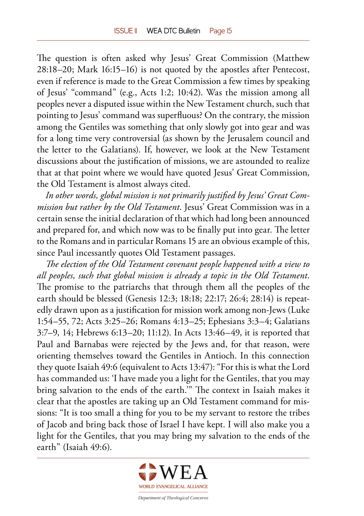The question is often asked why Jesus' Great Commission (Matthew 28:18–20; Mark 16:15–16) is not quoted by the apostles after Pentecost, even if reference is made to the Great Commission a few times by speaking of Jesus' "command" (e.g., Acts 1:2; 10:42). Was the mission among all peoples never a disputed issue within the New Testament church, such that pointing to Jesus' command was superfluous? On the contrary, the mission among the Gentiles was something that only slowly got into gear and was for a long time very controversial (as shown by the Jerusalem council and the letter to the Galatians). If, however, we look at the New Testament discussions about the justification of missions, we are astounded to realize that at that point where we would have quoted Jesus' Great Commission, the Old Testament is almost always cited.

*In other words, global mission is not primarily justified by Jesus' Great Commission but rather by the Old Testament*. Jesus' Great Commission was in a certain sense the initial declaration of that which had long been announced and prepared for, and which now was to be finally put into gear. The letter to the Romans and in particular Romans 15 are an obvious example of this, since Paul incessantly quotes Old Testament passages.

*The election of the Old Testament covenant people happened with a view to all peoples, such that global mission is already a topic in the Old Testament*. The promise to the patriarchs that through them all the peoples of the earth should be blessed (Genesis 12:3; 18:18; 22:17; 26:4; 28:14) is repeatedly drawn upon as a justification for mission work among non-Jews (Luke 1:54–55, 72; Acts 3:25–26; Romans 4:13–25; Ephesians 3:3–4; Galatians 3:7–9, 14; Hebrews 6:13–20; 11:12). In Acts 13:46–49, it is reported that Paul and Barnabas were rejected by the Jews and, for that reason, were orienting themselves toward the Gentiles in Antioch. In this connection they quote Isaiah 49:6 (equivalent to Acts 13:47): "For this is what the Lord has commanded us: 'I have made you a light for the Gentiles, that you may bring salvation to the ends of the earth.'" The context in Isaiah makes it clear that the apostles are taking up an Old Testament command for missions: "It is too small a thing for you to be my servant to restore the tribes of Jacob and bring back those of Israel I have kept. I will also make you a light for the Gentiles, that you may bring my salvation to the ends of the earth" (Isaiah 49:6).

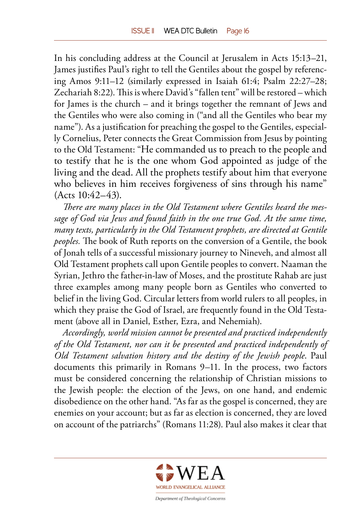In his concluding address at the Council at Jerusalem in Acts 15:13–21, James justifies Paul's right to tell the Gentiles about the gospel by referencing Amos 9:11–12 (similarly expressed in Isaiah 61:4; Psalm 22:27–28; Zechariah 8:22). This is where David's "fallen tent" will be restored – which for James is the church – and it brings together the remnant of Jews and the Gentiles who were also coming in ("and all the Gentiles who bear my name"). As a justification for preaching the gospel to the Gentiles, especially Cornelius, Peter connects the Great Commission from Jesus by pointing to the Old Testament: "He commanded us to preach to the people and to testify that he is the one whom God appointed as judge of the living and the dead. All the prophets testify about him that everyone who believes in him receives forgiveness of sins through his name" (Acts 10:42–43).

*There are many places in the Old Testament where Gentiles heard the message of God via Jews and found faith in the one true God. At the same time, many texts, particularly in the Old Testament prophets, are directed at Gentile peoples.* The book of Ruth reports on the conversion of a Gentile, the book of Jonah tells of a successful missionary journey to Nineveh, and almost all Old Testament prophets call upon Gentile peoples to convert. Naaman the Syrian, Jethro the father-in-law of Moses, and the prostitute Rahab are just three examples among many people born as Gentiles who converted to belief in the living God. Circular letters from world rulers to all peoples, in which they praise the God of Israel, are frequently found in the Old Testament (above all in Daniel, Esther, Ezra, and Nehemiah).

*Accordingly, world mission cannot be presented and practiced independently of the Old Testament, nor can it be presented and practiced independently of Old Testament salvation history and the destiny of the Jewish people*. Paul documents this primarily in Romans 9–11. In the process, two factors must be considered concerning the relationship of Christian missions to the Jewish people: the election of the Jews, on one hand, and endemic disobedience on the other hand. "As far as the gospel is concerned, they are enemies on your account; but as far as election is concerned, they are loved on account of the patriarchs" (Romans 11:28). Paul also makes it clear that

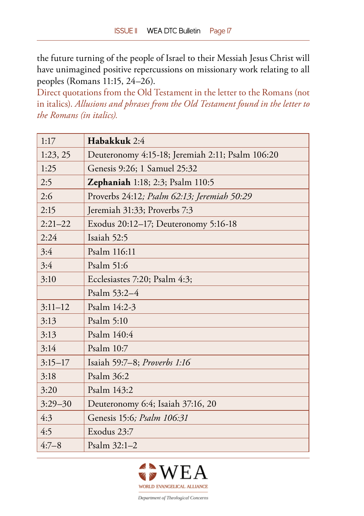the future turning of the people of Israel to their Messiah Jesus Christ will have unimagined positive repercussions on missionary work relating to all peoples (Romans 11:15, 24–26).

Direct quotations from the Old Testament in the letter to the Romans (not in italics). *Allusions and phrases from the Old Testament found in the letter to the Romans (in italics).*

| 1:17        | Habakkuk 2:4                                     |  |
|-------------|--------------------------------------------------|--|
| 1:23,25     | Deuteronomy 4:15-18; Jeremiah 2:11; Psalm 106:20 |  |
| 1:25        | Genesis 9:26; 1 Samuel 25:32                     |  |
| 2:5         | <b>Zephaniah</b> 1:18; 2:3; Psalm 110:5          |  |
| 2:6         | Proverbs 24:12; Psalm 62:13; Jeremiah 50:29      |  |
| 2:15        | Jeremiah 31:33; Proverbs 7:3                     |  |
| $2:21 - 22$ | Exodus 20:12–17; Deuteronomy 5:16-18             |  |
| 2:24        | Isaiah 52:5                                      |  |
| 3:4         | Psalm 116:11                                     |  |
| 3:4         | Psalm 51:6                                       |  |
| 3:10        | Ecclesiastes 7:20; Psalm 4:3;                    |  |
|             | Psalm 53:2-4                                     |  |
| $3:11-12$   | Psalm 14:2-3                                     |  |
| 3:13        | Psalm 5:10                                       |  |
| 3:13        | Psalm 140:4                                      |  |
| 3:14        | Psalm 10:7                                       |  |
| $3:15-17$   | Isaiah 59:7-8; Proverbs 1:16                     |  |
| 3:18        | Psalm 36:2                                       |  |
| 3:20        | Psalm 143:2                                      |  |
| $3:29 - 30$ | Deuteronomy 6:4; Isaiah 37:16, 20                |  |
| 4:3         | Genesis 15:6; Psalm 106:31                       |  |
| 4:5         | Exodus 23:7                                      |  |
| $4:7 - 8$   | Psalm 32:1-2                                     |  |

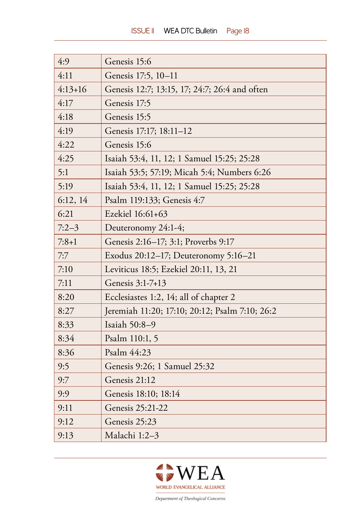| 4:9       | Genesis 15:6                                   |
|-----------|------------------------------------------------|
| 4:11      | Genesis 17:5, 10-11                            |
| $4:13+16$ | Genesis 12:7; 13:15, 17; 24:7; 26:4 and often  |
| 4:17      | Genesis 17:5                                   |
| 4:18      | Genesis 15:5                                   |
| 4:19      | Genesis 17:17; 18:11-12                        |
| 4:22      | Genesis 15:6                                   |
| 4:25      | Isaiah 53:4, 11, 12; 1 Samuel 15:25; 25:28     |
| 5:1       | Isaiah 53:5; 57:19; Micah 5:4; Numbers 6:26    |
| 5:19      | Isaiah 53:4, 11, 12; 1 Samuel 15:25; 25:28     |
| 6:12,14   | Psalm 119:133; Genesis 4:7                     |
| 6:21      | Ezekiel 16:61+63                               |
| $7:2-3$   | Deuteronomy 24:1-4;                            |
| $7:8+1$   | Genesis 2:16-17; 3:1; Proverbs 9:17            |
| 7:7       | Exodus 20:12-17; Deuteronomy 5:16-21           |
| 7:10      | Leviticus 18:5; Ezekiel 20:11, 13, 21          |
| 7:11      | Genesis 3:1-7+13                               |
| 8:20      | Ecclesiastes 1:2, 14; all of chapter 2         |
| 8:27      | Jeremiah 11:20; 17:10; 20:12; Psalm 7:10; 26:2 |
| 8:33      | Isaiah 50:8-9                                  |
| 8:34      | Psalm 110:1, 5                                 |
| 8:36      | Psalm 44:23                                    |
| 9:5       | Genesis 9:26; 1 Samuel 25:32                   |
| 9:7       | Genesis 21:12                                  |
| 9:9       | Genesis 18:10; 18:14                           |
| 9:11      | Genesis 25:21-22                               |
| 9:12      | Genesis 25:23                                  |
| 9:13      | Malachi 1:2-3                                  |

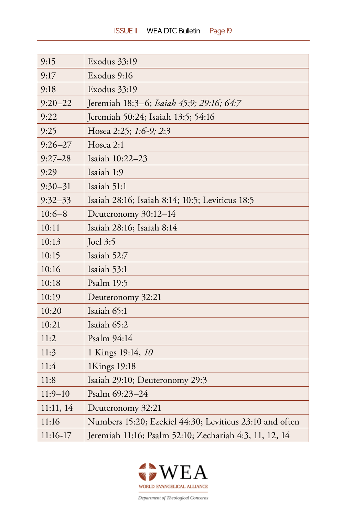| 9:15        | Exodus 33:19                                            |
|-------------|---------------------------------------------------------|
| 9:17        | Exodus 9:16                                             |
| 9:18        | Exodus 33:19                                            |
| $9:20 - 22$ | Jeremiah 18:3-6; Isaiah 45:9; 29:16; 64:7               |
| 9:22        | Jeremiah 50:24; Isaiah 13:5; 54:16                      |
| 9:25        | Hosea 2:25; 1:6-9; 2:3                                  |
| $9:26 - 27$ | Hosea 2:1                                               |
| $9:27 - 28$ | Isaiah 10:22-23                                         |
| 9:29        | Isaiah 1:9                                              |
| $9:30 - 31$ | Isaiah 51:1                                             |
| $9:32-33$   | Isaiah 28:16; Isaiah 8:14; 10:5; Leviticus 18:5         |
| $10:6 - 8$  | Deuteronomy 30:12-14                                    |
| 10:11       | Isaiah 28:16; Isaiah 8:14                               |
| 10:13       | <b>Joel 3:5</b>                                         |
| 10:15       | Isaiah 52:7                                             |
| 10:16       | Isaiah 53:1                                             |
| 10:18       | Psalm 19:5                                              |
| 10:19       | Deuteronomy 32:21                                       |
| 10:20       | Isaiah 65:1                                             |
| 10:21       | Isaiah 65:2                                             |
| 11:2        | Psalm 94:14                                             |
| 11:3        | 1 Kings 19:14, 10                                       |
| 11:4        | 1Kings 19:18                                            |
| 11:8        | Isaiah 29:10; Deuteronomy 29:3                          |
| $11:9 - 10$ | Psalm 69:23-24                                          |
| 11:11, 14   | Deuteronomy 32:21                                       |
| 11:16       | Numbers 15:20; Ezekiel 44:30; Leviticus 23:10 and often |
| 11:16-17    | Jeremiah 11:16; Psalm 52:10; Zechariah 4:3, 11, 12, 14  |

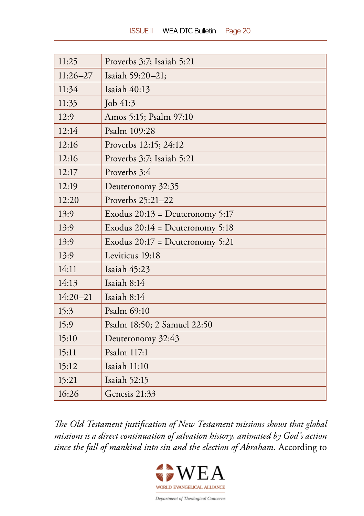| 11:25        | Proverbs 3:7; Isaiah 5:21         |
|--------------|-----------------------------------|
| $11:26 - 27$ | Isaiah 59:20-21;                  |
| 11:34        | Isaiah 40:13                      |
| 11:35        | Job 41:3                          |
| 12:9         | Amos 5:15; Psalm 97:10            |
| 12:14        | Psalm 109:28                      |
| 12:16        | Proverbs 12:15; 24:12             |
| 12:16        | Proverbs 3:7; Isaiah 5:21         |
| 12:17        | Proverbs 3:4                      |
| 12:19        | Deuteronomy 32:35                 |
| 12:20        | Proverbs 25:21-22                 |
| 13:9         | Exodus $20:13 =$ Deuteronomy 5:17 |
| 13:9         | Exodus $20:14 =$ Deuteronomy 5:18 |
| 13:9         | Exodus $20:17 =$ Deuteronomy 5:21 |
| 13:9         | Leviticus 19:18                   |
| 14:11        | Isaiah 45:23                      |
| 14:13        | Isaiah 8:14                       |
| $14:20 - 21$ | Isaiah 8:14                       |
| 15:3         | Psalm 69:10                       |
| 15:9         | Psalm 18:50; 2 Samuel 22:50       |
| 15:10        | Deuteronomy 32:43                 |
| 15:11        | Psalm 117:1                       |
| 15:12        | Isaiah 11:10                      |
| 15:21        | Isaiah 52:15                      |
| 16:26        | Genesis 21:33                     |

*The Old Testament justification of New Testament missions shows that global missions is a direct continuation of salvation history, animated by God's action since the fall of mankind into sin and the election of Abraham.* According to

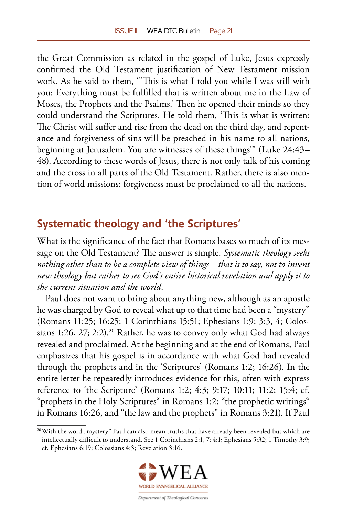<span id="page-20-0"></span>the Great Commission as related in the gospel of Luke, Jesus expressly confirmed the Old Testament justification of New Testament mission work. As he said to them, "'This is what I told you while I was still with you: Everything must be fulfilled that is written about me in the Law of Moses, the Prophets and the Psalms.' Then he opened their minds so they could understand the Scriptures. He told them, 'This is what is written: The Christ will suffer and rise from the dead on the third day, and repentance and forgiveness of sins will be preached in his name to all nations, beginning at Jerusalem. You are witnesses of these things'" (Luke 24:43– 48). According to these words of Jesus, there is not only talk of his coming and the cross in all parts of the Old Testament. Rather, there is also mention of world missions: forgiveness must be proclaimed to all the nations.

# **Systematic theology and 'the Scriptures'**

What is the significance of the fact that Romans bases so much of its message on the Old Testament? The answer is simple. *Systematic theology seeks nothing other than to be a complete view of things – that is to say, not to invent new theology but rather to see God's entire historical revelation and apply it to the current situation and the world*.

Paul does not want to bring about anything new, although as an apostle he was charged by God to reveal what up to that time had been a "mystery" (Romans 11:25; 16:25; 1 Corinthians 15:51; Ephesians 1:9; 3:3, 4; Colossians 1:26, 27; 2:2).<sup>20</sup> Rather, he was to convey only what God had always revealed and proclaimed. At the beginning and at the end of Romans, Paul emphasizes that his gospel is in accordance with what God had revealed through the prophets and in the 'Scriptures' (Romans 1:2; 16:26). In the entire letter he repeatedly introduces evidence for this, often with express reference to 'the Scripture' (Romans 1:2; 4:3; 9:17; 10:11; 11:2; 15:4; cf. "prophets in the Holy Scriptures" in Romans 1:2; "the prophetic writings" in Romans 16:26, and "the law and the prophets" in Romans 3:21). If Paul

<sup>&</sup>lt;sup>20</sup> With the word "mystery" Paul can also mean truths that have already been revealed but which are intellectually difficult to understand. See 1 Corinthians 2:1, 7; 4:1; Ephesians 5:32; 1 Timothy 3:9; cf. Ephesians 6:19; Colossians 4:3; Revelation 3:16.

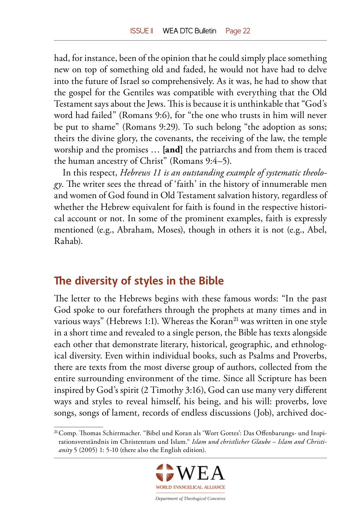<span id="page-21-0"></span>had, for instance, been of the opinion that he could simply place something new on top of something old and faded, he would not have had to delve into the future of Israel so comprehensively. As it was, he had to show that the gospel for the Gentiles was compatible with everything that the Old Testament says about the Jews. This is because it is unthinkable that "God's word had failed" (Romans 9:6), for "the one who trusts in him will never be put to shame" (Romans 9:29). To such belong "the adoption as sons; theirs the divine glory, the covenants, the receiving of the law, the temple worship and the promises … **[and]** the patriarchs and from them is traced the human ancestry of Christ" (Romans 9:4–5).

In this respect, *Hebrews 11 is an outstanding example of systematic theology*. The writer sees the thread of 'faith' in the history of innumerable men and women of God found in Old Testament salvation history, regardless of whether the Hebrew equivalent for faith is found in the respective historical account or not. In some of the prominent examples, faith is expressly mentioned (e.g., Abraham, Moses), though in others it is not (e.g., Abel, Rahab).

### **The diversity of styles in the Bible**

The letter to the Hebrews begins with these famous words: "In the past God spoke to our forefathers through the prophets at many times and in various ways" (Hebrews 1:1). Whereas the Koran<sup>21</sup> was written in one style in a short time and revealed to a single person, the Bible has texts alongside each other that demonstrate literary, historical, geographic, and ethnological diversity. Even within individual books, such as Psalms and Proverbs, there are texts from the most diverse group of authors, collected from the entire surrounding environment of the time. Since all Scripture has been inspired by God's spirit (2 Timothy 3:16), God can use many very different ways and styles to reveal himself, his being, and his will: proverbs, love songs, songs of lament, records of endless discussions (Job), archived doc-

<sup>21</sup> Comp. Thomas Schirrmacher. "Bibel und Koran als 'Wort Gottes': Das Offenbarungs- und Inspirationsverständnis im Christentum und Islam." *Islam und christlicher Glaube – Islam and Christianity* 5 (2005) 1: 5-10 (there also the English edition).

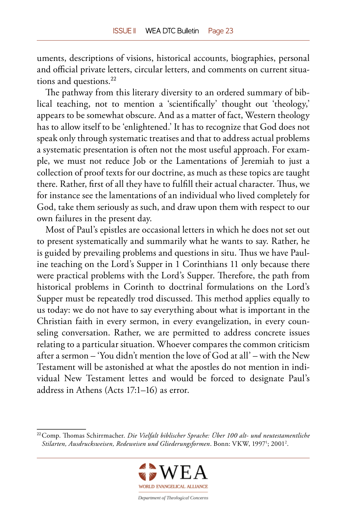uments, descriptions of visions, historical accounts, biographies, personal and official private letters, circular letters, and comments on current situations and questions.<sup>22</sup>

The pathway from this literary diversity to an ordered summary of biblical teaching, not to mention a 'scientifically' thought out 'theology,' appears to be somewhat obscure. And as a matter of fact, Western theology has to allow itself to be 'enlightened.' It has to recognize that God does not speak only through systematic treatises and that to address actual problems a systematic presentation is often not the most useful approach. For example, we must not reduce Job or the Lamentations of Jeremiah to just a collection of proof texts for our doctrine, as much as these topics are taught there. Rather, first of all they have to fulfill their actual character. Thus, we for instance see the lamentations of an individual who lived completely for God, take them seriously as such, and draw upon them with respect to our own failures in the present day.

Most of Paul's epistles are occasional letters in which he does not set out to present systematically and summarily what he wants to say. Rather, he is guided by prevailing problems and questions in situ. Thus we have Pauline teaching on the Lord's Supper in 1 Corinthians 11 only because there were practical problems with the Lord's Supper. Therefore, the path from historical problems in Corinth to doctrinal formulations on the Lord's Supper must be repeatedly trod discussed. This method applies equally to us today: we do not have to say everything about what is important in the Christian faith in every sermon, in every evangelization, in every counseling conversation. Rather, we are permitted to address concrete issues relating to a particular situation. Whoever compares the common criticism after a sermon – 'You didn't mention the love of God at all' – with the New Testament will be astonished at what the apostles do not mention in individual New Testament lettes and would be forced to designate Paul's address in Athens (Acts 17:1–16) as error.

<sup>22</sup> Comp. Thomas Schirrmacher. *Die Vielfalt biblischer Sprache: Über 100 alt- und neutestamentliche*  Stilarten, Ausdrucksweisen, Redeweisen und Gliederungsformen. Bonn: VKW, 1997<sup>1</sup>; 2001<sup>2</sup>.

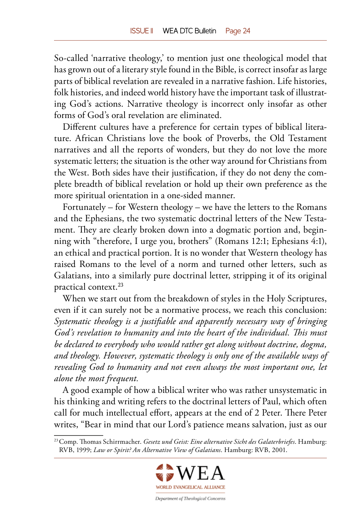So-called 'narrative theology,' to mention just one theological model that has grown out of a literary style found in the Bible, is correct insofar as large parts of biblical revelation are revealed in a narrative fashion. Life histories, folk histories, and indeed world history have the important task of illustrating God's actions. Narrative theology is incorrect only insofar as other forms of God's oral revelation are eliminated.

Different cultures have a preference for certain types of biblical literature. African Christians love the book of Proverbs, the Old Testament narratives and all the reports of wonders, but they do not love the more systematic letters; the situation is the other way around for Christians from the West. Both sides have their justification, if they do not deny the complete breadth of biblical revelation or hold up their own preference as the more spiritual orientation in a one-sided manner.

Fortunately – for Western theology – we have the letters to the Romans and the Ephesians, the two systematic doctrinal letters of the New Testament. They are clearly broken down into a dogmatic portion and, beginning with "therefore, I urge you, brothers" (Romans 12:1; Ephesians 4:1), an ethical and practical portion. It is no wonder that Western theology has raised Romans to the level of a norm and turned other letters, such as Galatians, into a similarly pure doctrinal letter, stripping it of its original practical context.<sup>23</sup>

When we start out from the breakdown of styles in the Holy Scriptures, even if it can surely not be a normative process, we reach this conclusion: *Systematic theology is a justifiable and apparently necessary way of bringing God's revelation to humanity and into the heart of the individual. This must be declared to everybody who would rather get along without doctrine, dogma, and theology. However, systematic theology is only one of the available ways of revealing God to humanity and not even always the most important one, let alone the most frequent.*

A good example of how a biblical writer who was rather unsystematic in his thinking and writing refers to the doctrinal letters of Paul, which often call for much intellectual effort, appears at the end of 2 Peter. There Peter writes, "Bear in mind that our Lord's patience means salvation, just as our

<sup>23</sup> Comp. Thomas Schirrmacher. *Gesetz und Geist: Eine alternative Sicht des Galaterbriefes*. Hamburg: RVB, 1999; *Law or Spirit? An Alternative View of Galatians*. Hamburg: RVB, 2001.

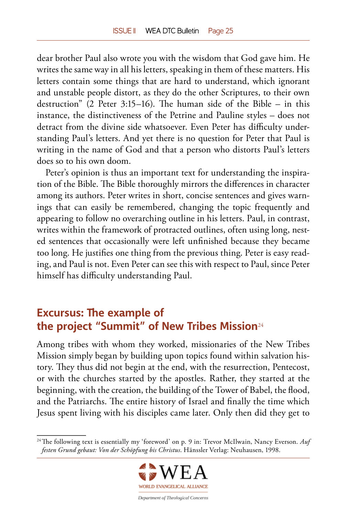<span id="page-24-0"></span>dear brother Paul also wrote you with the wisdom that God gave him. He writes the same way in all his letters, speaking in them of these matters. His letters contain some things that are hard to understand, which ignorant and unstable people distort, as they do the other Scriptures, to their own destruction" (2 Peter 3:15–16). The human side of the Bible – in this instance, the distinctiveness of the Petrine and Pauline styles – does not detract from the divine side whatsoever. Even Peter has difficulty understanding Paul's letters. And yet there is no question for Peter that Paul is writing in the name of God and that a person who distorts Paul's letters does so to his own doom.

Peter's opinion is thus an important text for understanding the inspiration of the Bible. The Bible thoroughly mirrors the differences in character among its authors. Peter writes in short, concise sentences and gives warnings that can easily be remembered, changing the topic frequently and appearing to follow no overarching outline in his letters. Paul, in contrast, writes within the framework of protracted outlines, often using long, nested sentences that occasionally were left unfinished because they became too long. He justifies one thing from the previous thing. Peter is easy reading, and Paul is not. Even Peter can see this with respect to Paul, since Peter himself has difficulty understanding Paul.

# **Excursus: The example of the project "Summit" of New Tribes Mission**<sup>24</sup>

Among tribes with whom they worked, missionaries of the New Tribes Mission simply began by building upon topics found within salvation history. They thus did not begin at the end, with the resurrection, Pentecost, or with the churches started by the apostles. Rather, they started at the beginning, with the creation, the building of the Tower of Babel, the flood, and the Patriarchs. The entire history of Israel and finally the time which Jesus spent living with his disciples came later. Only then did they get to

<sup>24</sup> The following text is essentially my 'foreword' on p. 9 in: Trevor McIlwain, Nancy Everson. *Auf festen Grund gebaut: Von der Schöpfung bis Christus*. Hänssler Verlag: Neuhausen, 1998.

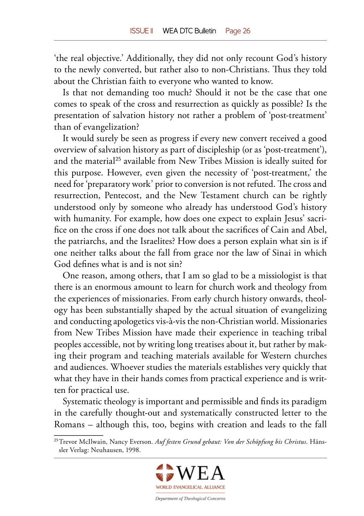'the real objective.' Additionally, they did not only recount God's history to the newly converted, but rather also to non-Christians. Thus they told about the Christian faith to everyone who wanted to know.

Is that not demanding too much? Should it not be the case that one comes to speak of the cross and resurrection as quickly as possible? Is the presentation of salvation history not rather a problem of 'post-treatment' than of evangelization?

It would surely be seen as progress if every new convert received a good overview of salvation history as part of discipleship (or as 'post-treatment'), and the material<sup>25</sup> available from New Tribes Mission is ideally suited for this purpose. However, even given the necessity of 'post-treatment,' the need for 'preparatory work' prior to conversion is not refuted. The cross and resurrection, Pentecost, and the New Testament church can be rightly understood only by someone who already has understood God's history with humanity. For example, how does one expect to explain Jesus' sacrifice on the cross if one does not talk about the sacrifices of Cain and Abel, the patriarchs, and the Israelites? How does a person explain what sin is if one neither talks about the fall from grace nor the law of Sinai in which God defines what is and is not sin?

One reason, among others, that I am so glad to be a missiologist is that there is an enormous amount to learn for church work and theology from the experiences of missionaries. From early church history onwards, theology has been substantially shaped by the actual situation of evangelizing and conducting apologetics [vis-à-vis](http://www.dict.cc/englisch-deutsch/vis-%C3%A0-vis.html) the non-Christian world. Missionaries from New Tribes Mission have made their experience in teaching tribal peoples accessible, not by writing long treatises about it, but rather by making their program and teaching materials available for Western churches and audiences. Whoever studies the materials establishes very quickly that what they have in their hands comes from practical experience and is written for practical use.

Systematic theology is important and permissible and finds its paradigm in the carefully thought-out and systematically constructed letter to the Romans – although this, too, begins with creation and leads to the fall

<sup>25</sup> Trevor McIlwain, Nancy Everson. *Auf festen Grund gebaut: Von der Schöpfung bis Christus*. Hänssler Verlag: Neuhausen, 1998.

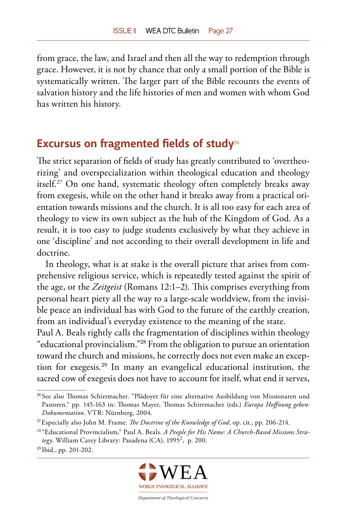<span id="page-26-0"></span>from grace, the law, and Israel and then all the way to redemption through grace. However, it is not by chance that only a small portion of the Bible is systematically written. The larger part of the Bible recounts the events of salvation history and the life histories of men and women with whom God has written his history.

## **Excursus on fragmented fields of study**<sup>26</sup>

The strict separation of fields of study has greatly contributed to 'overtheorizing' and overspecialization within theological education and theology itself.27 On one hand, systematic theology often completely breaks away from exegesis, while on the other hand it breaks away from a practical orientation towards missions and the church. It is all too easy for each area of theology to view its own subject as the hub of the Kingdom of God. As a result, it is too easy to judge students exclusively by what they achieve in one 'discipline' and not according to their overall development in life and doctrine.

In theology, what is at stake is the overall picture that arises from comprehensive religious service, which is repeatedly tested against the spirit of the age, or the *Zeitgeist* (Romans 12:1–2). This comprises everything from personal heart piety all the way to a large-scale worldview, from the invisible peace an individual has with God to the future of the earthly creation, from an individual's everyday existence to the meaning of the state.

Paul A. Beals rightly calls the fragmentation of disciplines within theology "educational provincialism."<sup>28</sup> From the obligation to pursue an orientation toward the church and missions, he correctly does not even make an exception for exegesis.<sup>29</sup> In many an evangelical educational institution, the sacred cow of exegesis does not have to account for itself, what end it serves,



<sup>26</sup> See also Thomas Schirrmacher. "Plädoyer für eine alternative Ausbildung von Missionaren und Pastoren." pp. 145-163 in: Thomas Mayer, Thomas Schirrmacher (eds.) *Europa Hoffnung geben: Dokumentation*. VTR: Nürnberg, 2004.

<sup>27</sup> Especially also John M. Frame. *The Doctrine of the Knowledge of God*, op. cit., pp. 206-214.

<sup>28 &</sup>quot;Educational Provincialism," Paul A. Beals. *A People for His Name: A Church-Based Missions Stra*tegy. William Carey Library: Pasadena (CA), 1995<sup>2</sup>, p. 200.

<sup>29</sup> Ibid., pp. 201-202.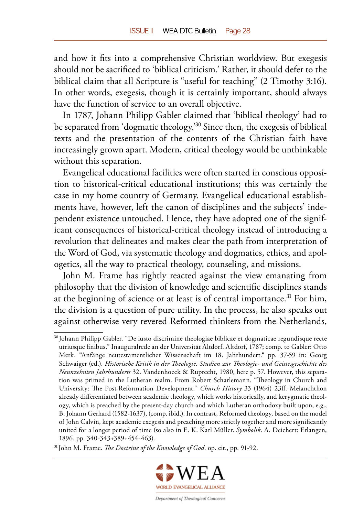and how it fits into a comprehensive Christian worldview. But exegesis should not be sacrificed to 'biblical criticism.' Rather, it should defer to the biblical claim that all Scripture is "useful for teaching" (2 Timothy 3:16). In other words, exegesis, though it is certainly important, should always have the function of service to an overall objective.

In 1787, Johann Philipp Gabler claimed that 'biblical theology' had to be separated from 'dogmatic theology.'<sup>30</sup> Since then, the exegesis of biblical texts and the presentation of the contents of the Christian faith have increasingly grown apart. Modern, critical theology would be unthinkable without this separation.

Evangelical educational facilities were often started in conscious opposition to historical-critical educational institutions; this was certainly the case in my home country of Germany. Evangelical educational establishments have, however, left the canon of disciplines and the subjects' independent existence untouched. Hence, they have adopted one of the significant consequences of historical-critical theology instead of introducing a revolution that delineates and makes clear the path from interpretation of the Word of God, via systematic theology and dogmatics, ethics, and apologetics, all the way to practical theology, counseling, and missions.

John M. Frame has rightly reacted against the view emanating from philosophy that the division of knowledge and scientific disciplines stands at the beginning of science or at least is of central importance.<sup>31</sup> For him, the division is a question of pure utility. In the process, he also speaks out against otherwise very revered Reformed thinkers from the Netherlands,

<sup>31</sup> John M. Frame. *The Doctrine of the Knowledge of God*. op. cit., pp. 91-92.



<sup>30</sup> Johann Philipp Gabler. "De iusto discrimine theologiae biblicae et dogmaticae regundisque recte utriusque finibus." Inauguralrede an der Universität Altdorf. Altdorf, 1787; comp. to Gabler: Otto Merk. "Anfänge neutestamentlicher Wissenschaft im 18. Jahrhundert." pp. 37-59 in: Georg Schwaiger (ed.). *Historische Kritik in der Theologie. Studien zur Theologie- und Geistesgeschichte des Neunzehnten Jahrhunderts* 32. Vandenhoeck & Ruprecht, 1980, here p. 57. However, this separation was primed in the Lutheran realm. From Robert Scharlemann. "Theology in Church and University: The Post-Reformation Development." *Church History* 33 (1964) 23ff. Melanchthon already differentiated between academic theology, which works historically, and kerygmatic theology, which is preached by the present-day church and which Lutheran orthodoxy built upon, e.g., B. Johann Gerhard (1582-1637), (comp. ibid.). In contrast, Reformed theology, based on the model of John Calvin, kept academic exegesis and preaching more strictly together and more significantly united for a longer period of time (so also in E. K. Karl Müller. *Symbolik*. A. Deichert: Erlangen, 1896. pp. 340-343+389+454-463).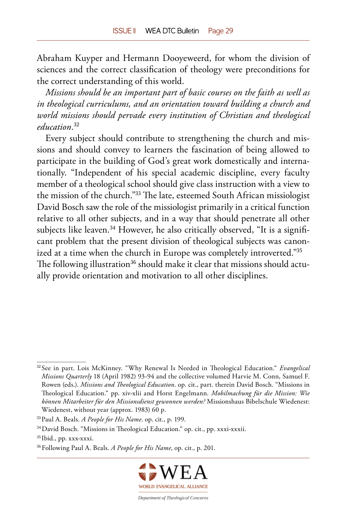Abraham Kuyper and Hermann Dooyeweerd, for whom the division of sciences and the correct classification of theology were preconditions for the correct understanding of this world.

*Missions should be an important part of basic courses on the faith as well as in theological curriculums, and an orientation toward building a church and world missions should pervade every institution of Christian and theological education*. 32

Every subject should contribute to strengthening the church and missions and should convey to learners the fascination of being allowed to participate in the building of God's great work domestically and internationally. "Independent of his special academic discipline, every faculty member of a theological school should give class instruction with a view to the mission of the church."<sup>33</sup> The late, esteemed South African missiologist David Bosch saw the role of the missiologist primarily in a critical function relative to all other subjects, and in a way that should penetrate all other subjects like leaven.<sup>34</sup> However, he also critically observed, "It is a significant problem that the present division of theological subjects was canonized at a time when the church in Europe was completely introverted."<sup>35</sup> The following illustration<sup>36</sup> should make it clear that missions should actually provide orientation and motivation to all other disciplines.

<sup>36</sup> Following Paul A. Beals. *A People for His Name*, op. cit., p. 201.



<sup>32</sup> See in part. Lois McKinney. "Why Renewal Is Needed in Theological Education." *Evangelical Missions Quarterly* 18 (April 1982) 93-94 and the collective volumed Harvie M. Conn, Samuel F. Rowen (eds.). *Missions and Theological Education*. op. cit., part. therein David Bosch. "Missions in Theological Education." pp. xiv-xlii and Horst Engelmann. *Mobilmachung für die Mission: Wie können Mitarbeiter für den Missionsdienst gewonnen werden?* Missionshaus Bibelschule Wiedenest: Wiedenest, without year (approx. 1983) 60 p.

<sup>33</sup> Paul A. Beals. *A People for His Name*. op. cit., p. 199.

<sup>34</sup> David Bosch. "Missions in Theological Education." op. cit., pp. xxxi-xxxii.

<sup>35</sup> Ibid., pp. xxx-xxxi.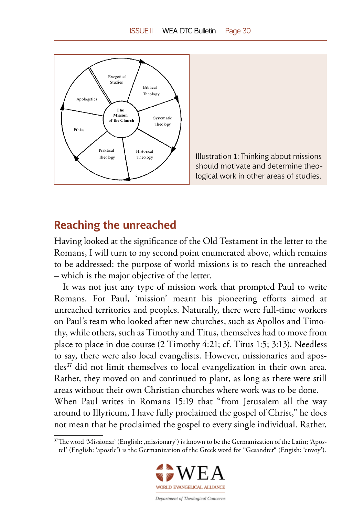<span id="page-29-0"></span>



## **Reaching the unreached**

Having looked at the significance of the Old Testament in the letter to the Romans, I will turn to my second point enumerated above, which remains to be addressed: the purpose of world missions is to reach the unreached – which is the major objective of the letter.

It was not just any type of mission work that prompted Paul to write Romans. For Paul, 'mission' meant his pioneering efforts aimed at unreached territories and peoples. Naturally, there were full-time workers on Paul's team who looked after new churches, such as Apollos and Timothy, while others, such as Timothy and Titus, themselves had to move from place to place in due course (2 Timothy 4:21; cf. Titus 1:5; 3:13). Needless to say, there were also local evangelists. However, missionaries and apostles<sup>37</sup> did not limit themselves to local evangelization in their own area. Rather, they moved on and continued to plant, as long as there were still areas without their own Christian churches where work was to be done. When Paul writes in Romans 15:19 that "from Jerusalem all the way around to Illyricum, I have fully proclaimed the gospel of Christ," he does not mean that he proclaimed the gospel to every single individual. Rather,

<sup>37</sup> The word 'Missionar' (English: 'missionary') is known to be the Germanization of the Latin; 'Apostel' (English: 'apostle') is the Germanization of the Greek word for "Gesandter" (Engish: 'envoy').

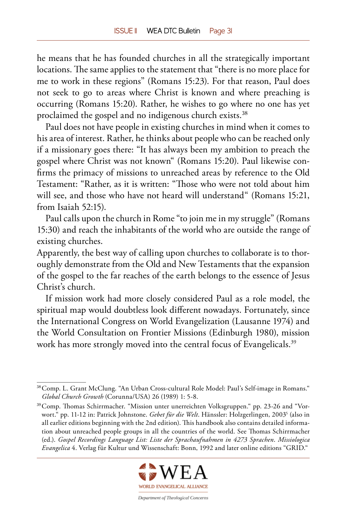he means that he has founded churches in all the strategically important locations. The same applies to the statement that "there is no more place for me to work in these regions" (Romans 15:23). For that reason, Paul does not seek to go to areas where Christ is known and where preaching is occurring (Romans 15:20). Rather, he wishes to go where no one has yet proclaimed the gospel and no indigenous church exists.<sup>38</sup>

Paul does not have people in existing churches in mind when it comes to his area of interest. Rather, he thinks about people who can be reached only if a missionary goes there: "It has always been my ambition to preach the gospel where Christ was not known" (Romans 15:20). Paul likewise confirms the primacy of missions to unreached areas by reference to the Old Testament: "Rather, as it is written: "Those who were not told about him will see, and those who have not heard will understand" (Romans 15:21, from Isaiah 52:15).

Paul calls upon the church in Rome "to join me in my struggle" (Romans 15:30) and reach the inhabitants of the world who are outside the range of existing churches.

Apparently, the best way of calling upon churches to collaborate is to thoroughly demonstrate from the Old and New Testaments that the expansion of the gospel to the far reaches of the earth belongs to the essence of Jesus Christ's church.

If mission work had more closely considered Paul as a role model, the spiritual map would doubtless look different nowadays. Fortunately, since the International Congress on World Evangelization (Lausanne 1974) and the World Consultation on Frontier Missions (Edinburgh 1980), mission work has more strongly moved into the central focus of Evangelicals.<sup>39</sup>

<sup>39</sup> Comp. Thomas Schirrmacher. "Mission unter unerreichten Volksgruppen." pp. 23-26 and "Vorwort." pp. 11-12 in: Patrick Johnstone. *Gebet für die Welt*. Hänssler: Holzgerlingen, 20035 (also in all earlier editions beginning with the 2nd edition). This handbook also contains detailed information about unreached people groups in all the countries of the world. See Thomas Schirrmacher (ed.). *Gospel Recordings Language List: Liste der Sprachaufnahmen in 4273 Sprachen*. *Missiologica Evangelica* 4. Verlag für Kultur und Wissenschaft: Bonn, 1992 and later online editions "GRID."



<sup>38</sup> Comp. L. Grant McClung. "An Urban Cross-cultural Role Model: Paul's Self-image in Romans." *Global Church Growth* (Corunna/USA) 26 (1989) 1: 5-8.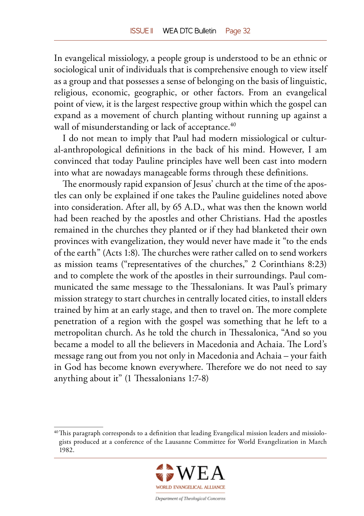In evangelical missiology, a people group is understood to be an ethnic or sociological unit of individuals that is comprehensive enough to view itself as a group and that possesses a sense of belonging on the basis of linguistic, religious, economic, geographic, or other factors. From an evangelical point of view, it is the largest respective group within which the gospel can expand as a movement of church planting without running up against a wall of misunderstanding or lack of acceptance.<sup>40</sup>

I do not mean to imply that Paul had modern missiological or cultural-anthropological definitions in the back of his mind. However, I am convinced that today Pauline principles have well been cast into modern into what are nowadays manageable forms through these definitions.

The enormously rapid expansion of Jesus' church at the time of the apostles can only be explained if one takes the Pauline guidelines noted above into consideration. After all, by 65 A.D., what was then the known world had been reached by the apostles and other Christians. Had the apostles remained in the churches they planted or if they had blanketed their own provinces with evangelization, they would never have made it "to the ends of the earth" (Acts 1:8). The churches were rather called on to send workers as mission teams ("representatives of the churches," 2 Corinthians 8:23) and to complete the work of the apostles in their surroundings. Paul communicated the same message to the Thessalonians. It was Paul's primary mission strategy to start churches in centrally located cities, to install elders trained by him at an early stage, and then to travel on. The more complete penetration of a region with the gospel was something that he left to a metropolitan church. As he told the church in Thessalonica, "And so you became a model to all the believers in Macedonia and Achaia. The Lord's message rang out from you not only in Macedonia and Achaia – your faith in God has become known everywhere. Therefore we do not need to say anything about it" (1 Thessalonians 1:7-8)

<sup>40</sup> This paragraph corresponds to a definition that leading Evangelical mission leaders and missiologists produced at a conference of the Lausanne Committee for World Evangelization in March 1982.

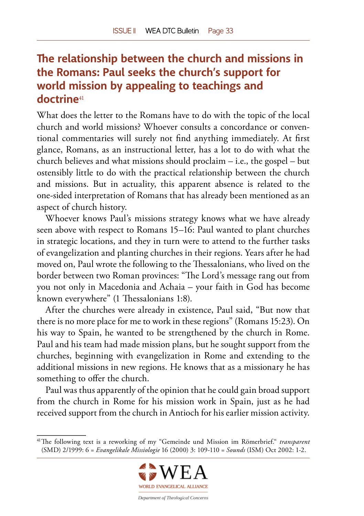# <span id="page-32-0"></span>**The relationship between the church and missions in the Romans: Paul seeks the church's support for world mission by appealing to teachings and doctrine**<sup>41</sup>

What does the letter to the Romans have to do with the topic of the local church and world missions? Whoever consults a concordance or conventional commentaries will surely not find anything immediately. At first glance, Romans, as an instructional letter, has a lot to do with what the church believes and what missions should proclaim – i.e., the gospel – but ostensibly little to do with the practical relationship between the church and missions. But in actuality, this apparent absence is related to the one-sided interpretation of Romans that has already been mentioned as an aspect of church history.

Whoever knows Paul's missions strategy knows what we have already seen above with respect to Romans 15–16: Paul wanted to plant churches in strategic locations, and they in turn were to attend to the further tasks of evangelization and planting churches in their regions. Years after he had moved on, Paul wrote the following to the Thessalonians, who lived on the border between two Roman provinces: "The Lord's message rang out from you not only in Macedonia and Achaia – your faith in God has become known everywhere" (1 Thessalonians 1:8).

After the churches were already in existence, Paul said, "But now that there is no more place for me to work in these regions" (Romans 15:23). On his way to Spain, he wanted to be strengthened by the church in Rome. Paul and his team had made mission plans, but he sought support from the churches, beginning with evangelization in Rome and extending to the additional missions in new regions. He knows that as a missionary he has something to offer the church.

Paul was thus apparently of the opinion that he could gain broad support from the church in Rome for his mission work in Spain, just as he had received support from the church in Antioch for his earlier mission activity.

<sup>41</sup> The following text is a reworking of my "Gemeinde und Mission im Römerbrief." *transparent* (SMD) 2/1999: 6 = *Evangelikale Missiologie* 16 (2000) 3: 109-110 = *Sounds* (ISM) Oct 2002: 1-2.

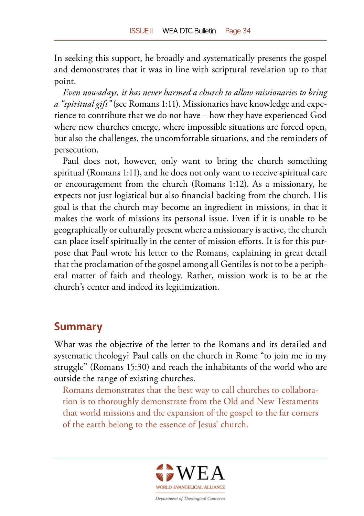<span id="page-33-0"></span>In seeking this support, he broadly and systematically presents the gospel and demonstrates that it was in line with scriptural revelation up to that point.

*Even nowadays, it has never harmed a church to allow missionaries to bring a "spiritual gift"* (see Romans 1:11). Missionaries have knowledge and experience to contribute that we do not have – how they have experienced God where new churches emerge, where impossible situations are forced open, but also the challenges, the uncomfortable situations, and the reminders of persecution.

Paul does not, however, only want to bring the church something spiritual (Romans 1:11), and he does not only want to receive spiritual care or encouragement from the church (Romans 1:12). As a missionary, he expects not just logistical but also financial backing from the church. His goal is that the church may become an ingredient in missions, in that it makes the work of missions its personal issue. Even if it is unable to be geographically or culturally present where a missionary is active, the church can place itself spiritually in the center of mission efforts. It is for this purpose that Paul wrote his letter to the Romans, explaining in great detail that the proclamation of the gospel among all Gentiles is not to be a peripheral matter of faith and theology. Rather, mission work is to be at the church's center and indeed its legitimization.

### **Summary**

What was the objective of the letter to the Romans and its detailed and systematic theology? Paul calls on the church in Rome "to join me in my struggle" (Romans 15:30) and reach the inhabitants of the world who are outside the range of existing churches.

Romans demonstrates that the best way to call churches to collaboration is to thoroughly demonstrate from the Old and New Testaments that world missions and the expansion of the gospel to the far corners of the earth belong to the essence of Jesus' church.

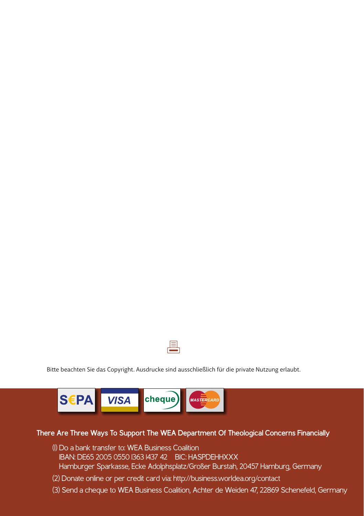

Bitte beachten Sie das Copyright. Ausdrucke sind ausschließlich für die private Nutzung erlaubt.



#### **There Are Three Ways To Support The WEA Department Of Theological Concerns Financially**

- (1) Do a bank transfer to: WEA Business Coalition IBAN: DE65 2005 0550 1363 1437 42 BIC: HASPDEHHXXX Hamburger Sparkasse, Ecke Adolphsplatz/Großer Burstah, 20457 Hamburg, Germany
- (2) Donate online or per credit card via: http://business.worldea.org/contact
- (3) Send a cheque to WEA Business Coalition, Achter de Weiden 47, 22869 Schenefeld, Germany